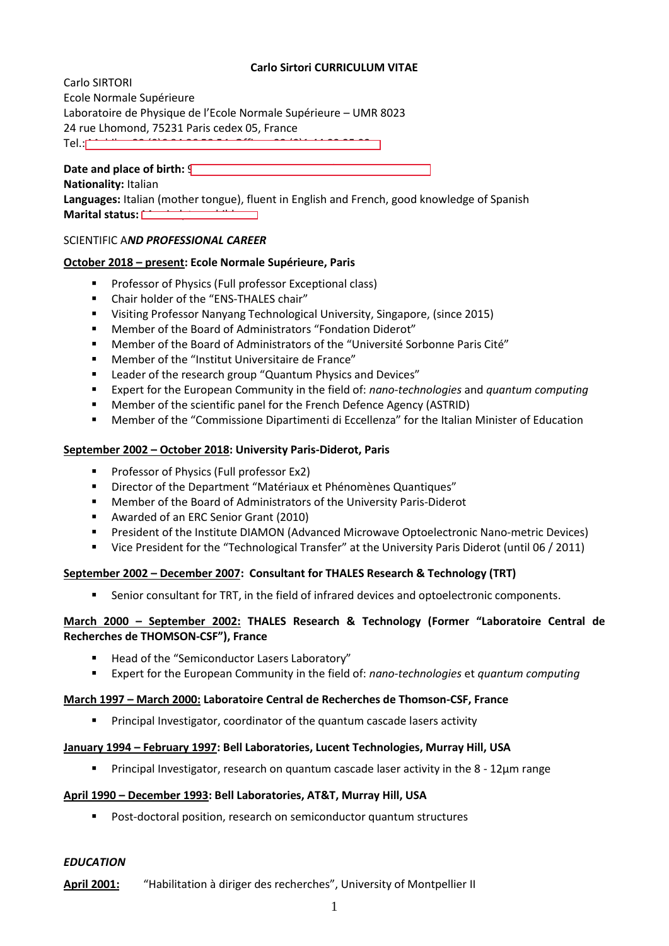# **Carlo Sirtori CURRICULUM VITAE**

Carlo SIRTORI Ecole Normale Supérieure Laboratoire de Physique de l'Ecole Normale Supérieure – UMR 8023 24 rue Lhomond, 75231 Paris cedex 05, France Tel.: Mobile +33 (0)6 84 86 58 54, Office +33 (0)1 44 32 25 92

**Date and place of birth:**  $\sqrt{\phantom{a}}$ **Nationality:** Italian

**Languages:** Italian (mother tongue), fluent in English and French, good knowledge of Spanish **Marital status:** 

#### SCIENTIFIC A*ND PROFESSIONAL CAREER*

### **October 2018 – present: Ecole Normale Supérieure, Paris**

- **Professor of Physics (Full professor Exceptional class)**
- Chair holder of the "ENS-THALES chair"
- Visiting Professor Nanyang Technological University, Singapore, (since 2015)
- Member of the Board of Administrators "Fondation Diderot"
- Member of the Board of Administrators of the "Université Sorbonne Paris Cité"
- Member of the "Institut Universitaire de France"
- **EXECTE:** Leader of the research group "Quantum Physics and Devices"
- Expert for the European Community in the field of: *nano-technologies* and *quantum computing*
- Member of the scientific panel for the French Defence Agency (ASTRID)
- Member of the "Commissione Dipartimenti di Eccellenza" for the Italian Minister of Education

### **September 2002 – October 2018: University Paris-Diderot, Paris**

- Professor of Physics (Full professor Ex2)
- Director of the Department "Matériaux et Phénomènes Quantiques"
- Member of the Board of Administrators of the University Paris-Diderot
- Awarded of an ERC Senior Grant (2010)
- President of the Institute DIAMON (Advanced Microwave Optoelectronic Nano-metric Devices)
- Vice President for the "Technological Transfer" at the University Paris Diderot (until 06 / 2011)

### **September 2002 – December 2007: Consultant for THALES Research & Technology (TRT)**

Senior consultant for TRT, in the field of infrared devices and optoelectronic components.

### **March 2000 – September 2002: THALES Research & Technology (Former "Laboratoire Central de Recherches de THOMSON-CSF"), France**

- Head of the "Semiconductor Lasers Laboratory"
- Expert for the European Community in the field of: *nano-technologies* et *quantum computing*

### **March 1997 – March 2000: Laboratoire Central de Recherches de Thomson-CSF, France**

Principal Investigator, coordinator of the quantum cascade lasers activity

### **January 1994 – February 1997: Bell Laboratories, Lucent Technologies, Murray Hill, USA**

Principal Investigator, research on quantum cascade laser activity in the 8 - 12µm range

#### **April 1990 – December 1993: Bell Laboratories, AT&T, Murray Hill, USA**

**Post-doctoral position, research on semiconductor quantum structures** 

### *EDUCATION*

**April 2001:** "Habilitation à diriger des recherches", University of Montpellier II